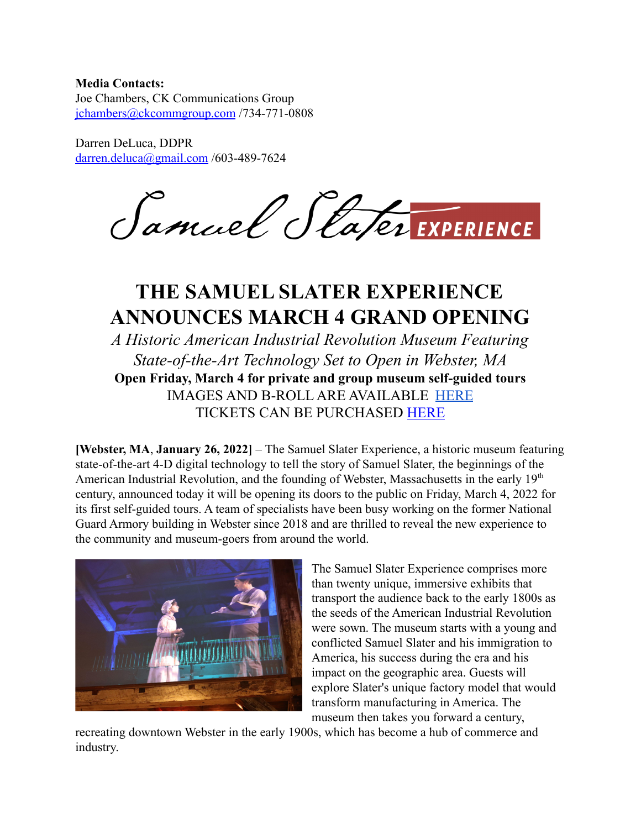## **Media Contacts:**

Joe Chambers, CK Communications Group [jchambers@ckcommgroup.com](mailto:jchambers@ckcommgroup.com) /734-771-0808

Darren DeLuca, DDPR [darren.deluca@gmail.com](mailto:darren.deluca@gmail.com) /603-489-7624

Samuel Stater EXPERIENCE

## **THE SAMUEL SLATER EXPERIENCE ANNOUNCES MARCH 4 GRAND OPENING**

*A Historic American Industrial Revolution Museum Featuring State-of-the-Art Technology Set to Open in Webster, MA* **Open Friday, March 4 for private and group museum self-guided tours** IMAGES AND B-ROLL ARE AVAILABLE [HERE](https://drive.google.com/drive/folders/1IiEgs-snQxUJXPa3lOYpytXzA9LdQOl1?usp=sharing) TICKETS CAN BE PURCHASED [HERE](https://www.etix.com/ticket/v/19344/samuel-slater-experience)

**[Webster, MA**, **January 26, 2022]** – The Samuel Slater Experience, a historic museum featuring state-of-the-art 4-D digital technology to tell the story of Samuel Slater, the beginnings of the American Industrial Revolution, and the founding of Webster, Massachusetts in the early 19<sup>th</sup> century, announced today it will be opening its doors to the public on Friday, March 4, 2022 for its first self-guided tours. A team of specialists have been busy working on the former National Guard Armory building in Webster since 2018 and are thrilled to reveal the new experience to the community and museum-goers from around the world.



The Samuel Slater Experience comprises more than twenty unique, immersive exhibits that transport the audience back to the early 1800s as the seeds of the American Industrial Revolution were sown. The museum starts with a young and conflicted Samuel Slater and his immigration to America, his success during the era and his impact on the geographic area. Guests will explore Slater's unique factory model that would transform manufacturing in America. The museum then takes you forward a century,

recreating downtown Webster in the early 1900s, which has become a hub of commerce and industry.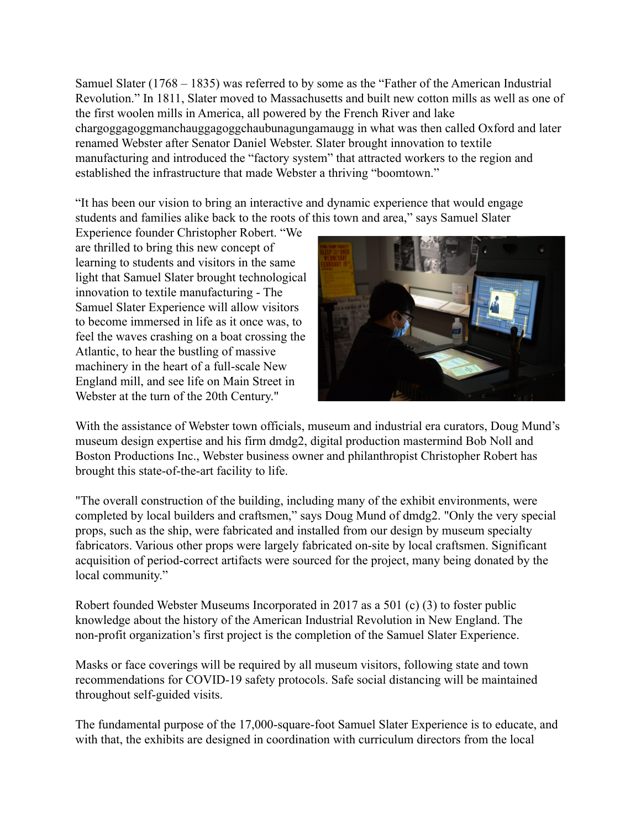Samuel Slater (1768 – 1835) was referred to by some as the "Father of the American Industrial Revolution." In 1811, Slater moved to Massachusetts and built new cotton mills as well as one of the first woolen mills in America, all powered by the French River and lake chargoggagoggmanchauggagoggchaubunagungamaugg in what was then called Oxford and later renamed Webster after Senator Daniel Webster. Slater brought innovation to textile manufacturing and introduced the "factory system" that attracted workers to the region and established the infrastructure that made Webster a thriving "boomtown."

"It has been our vision to bring an interactive and dynamic experience that would engage students and families alike back to the roots of this town and area," says Samuel Slater

Experience founder Christopher Robert. "We are thrilled to bring this new concept of learning to students and visitors in the same light that Samuel Slater brought technological innovation to textile manufacturing - The Samuel Slater Experience will allow visitors to become immersed in life as it once was, to feel the waves crashing on a boat crossing the Atlantic, to hear the bustling of massive machinery in the heart of a full-scale New England mill, and see life on Main Street in Webster at the turn of the 20th Century."



With the assistance of Webster town officials, museum and industrial era curators, Doug Mund's museum design expertise and his firm dmdg2, digital production mastermind Bob Noll and Boston Productions Inc., Webster business owner and philanthropist Christopher Robert has brought this state-of-the-art facility to life.

"The overall construction of the building, including many of the exhibit environments, were completed by local builders and craftsmen," says Doug Mund of dmdg2. "Only the very special props, such as the ship, were fabricated and installed from our design by museum specialty fabricators. Various other props were largely fabricated on-site by local craftsmen. Significant acquisition of period-correct artifacts were sourced for the project, many being donated by the local community."

Robert founded Webster Museums Incorporated in 2017 as a 501 (c) (3) to foster public knowledge about the history of the American Industrial Revolution in New England. The non-profit organization's first project is the completion of the Samuel Slater Experience.

Masks or face coverings will be required by all museum visitors, following state and town recommendations for COVID-19 safety protocols. Safe social distancing will be maintained throughout self-guided visits.

The fundamental purpose of the 17,000-square-foot Samuel Slater Experience is to educate, and with that, the exhibits are designed in coordination with curriculum directors from the local